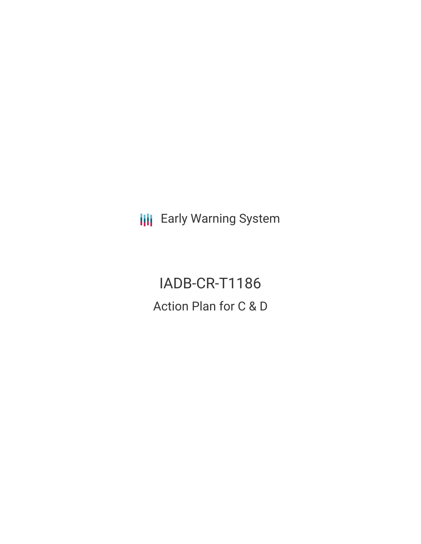**III** Early Warning System

IADB-CR-T1186 Action Plan for C & D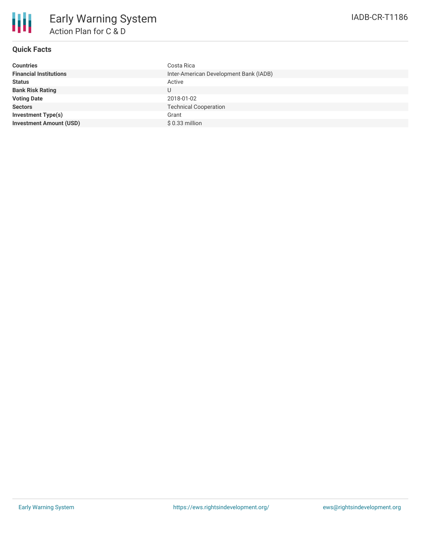

## **Quick Facts**

| Inter-American Development Bank (IADB)<br><b>Financial Institutions</b><br><b>Status</b><br>Active<br><b>Bank Risk Rating</b><br>U<br><b>Voting Date</b><br>2018-01-02<br><b>Technical Cooperation</b><br><b>Sectors</b><br><b>Investment Type(s)</b><br>Grant<br><b>Investment Amount (USD)</b><br>$$0.33$ million | <b>Countries</b> | Costa Rica |
|---------------------------------------------------------------------------------------------------------------------------------------------------------------------------------------------------------------------------------------------------------------------------------------------------------------------|------------------|------------|
|                                                                                                                                                                                                                                                                                                                     |                  |            |
|                                                                                                                                                                                                                                                                                                                     |                  |            |
|                                                                                                                                                                                                                                                                                                                     |                  |            |
|                                                                                                                                                                                                                                                                                                                     |                  |            |
|                                                                                                                                                                                                                                                                                                                     |                  |            |
|                                                                                                                                                                                                                                                                                                                     |                  |            |
|                                                                                                                                                                                                                                                                                                                     |                  |            |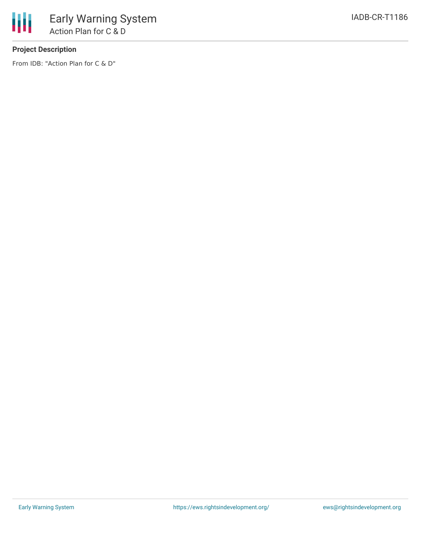

# **Project Description**

From IDB: "Action Plan for C & D"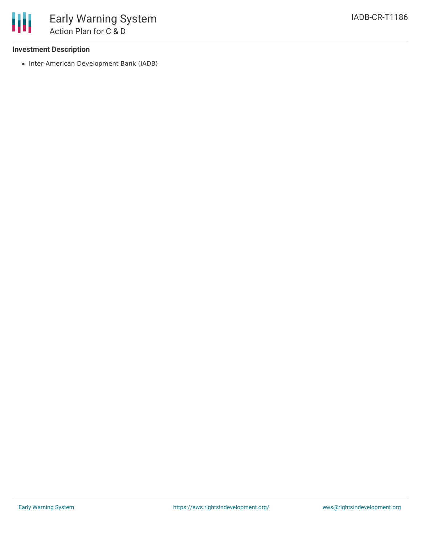## **Investment Description**

• Inter-American Development Bank (IADB)